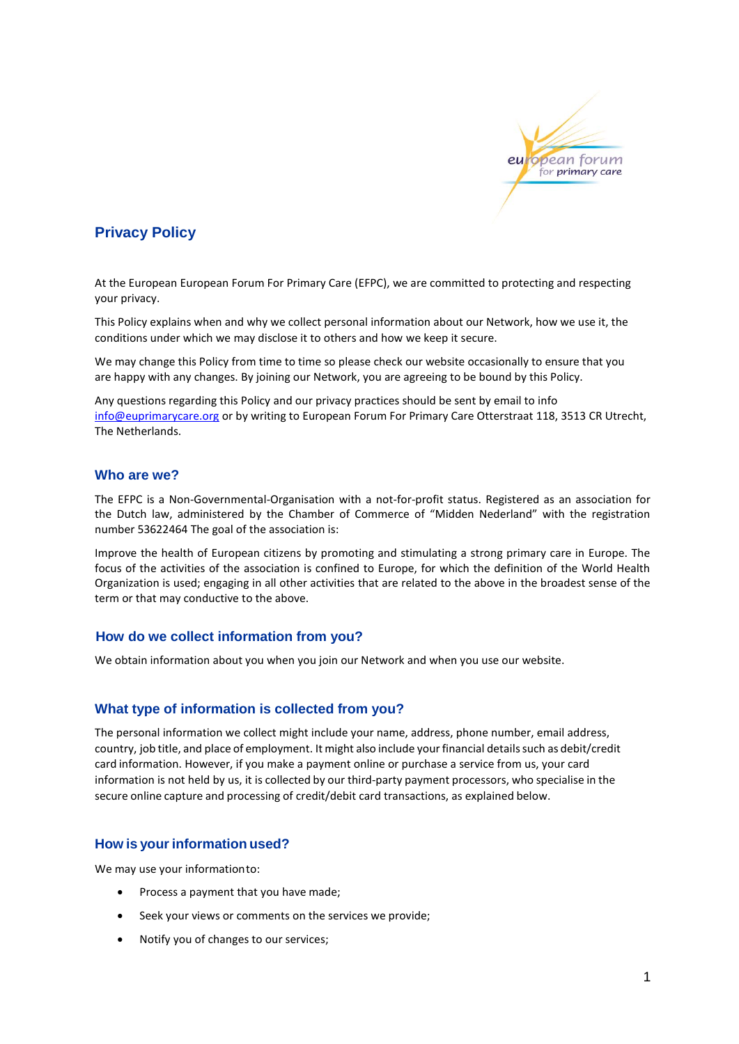

# **Privacy Policy**

At the European European Forum For Primary Care (EFPC), we are committed to protecting and respecting your privacy.

This Policy explains when and why we collect personal information about our Network, how we use it, the conditions under which we may disclose it to others and how we keep it secure.

We may change this Policy from time to time so please check our website occasionally to ensure that you are happy with any changes. By joining our Network, you are agreeing to be bound by this Policy.

Any questions regarding this Policy and our privacy practices should be sent by email to info [info@euprimarycare.org](mailto:info@euprimarycare.org) or by writing to European Forum For Primary Care Otterstraat 118, 3513 CR Utrecht, The Netherlands.

### **Who are we?**

The EFPC is a Non-Governmental-Organisation with a not-for-profit status. Registered as an association for the Dutch law, administered by the Chamber of Commerce of "Midden Nederland" with the registration number 53622464 The goal of the association is:

Improve the health of European citizens by promoting and stimulating a strong primary care in Europe. The focus of the activities of the association is confined to Europe, for which the definition of the World Health Organization is used; engaging in all other activities that are related to the above in the broadest sense of the term or that may conductive to the above.

# **How do we collect information from you?**

We obtain information about you when you join our Network and when you use our website.

# **What type of information is collected from you?**

The personal information we collect might include your name, address, phone number, email address, country, job title, and place of employment. It might also include yourfinancial detailssuch as debit/credit card information. However, if you make a payment online or purchase a service from us, your card information is not held by us, it is collected by our third-party payment processors, who specialise in the secure online capture and processing of credit/debit card transactions, as explained below.

# **How is yourinformation used?**

We may use your informationto:

- Process a payment that you have made;
- Seek your views or comments on the services we provide;
- Notify you of changes to our services;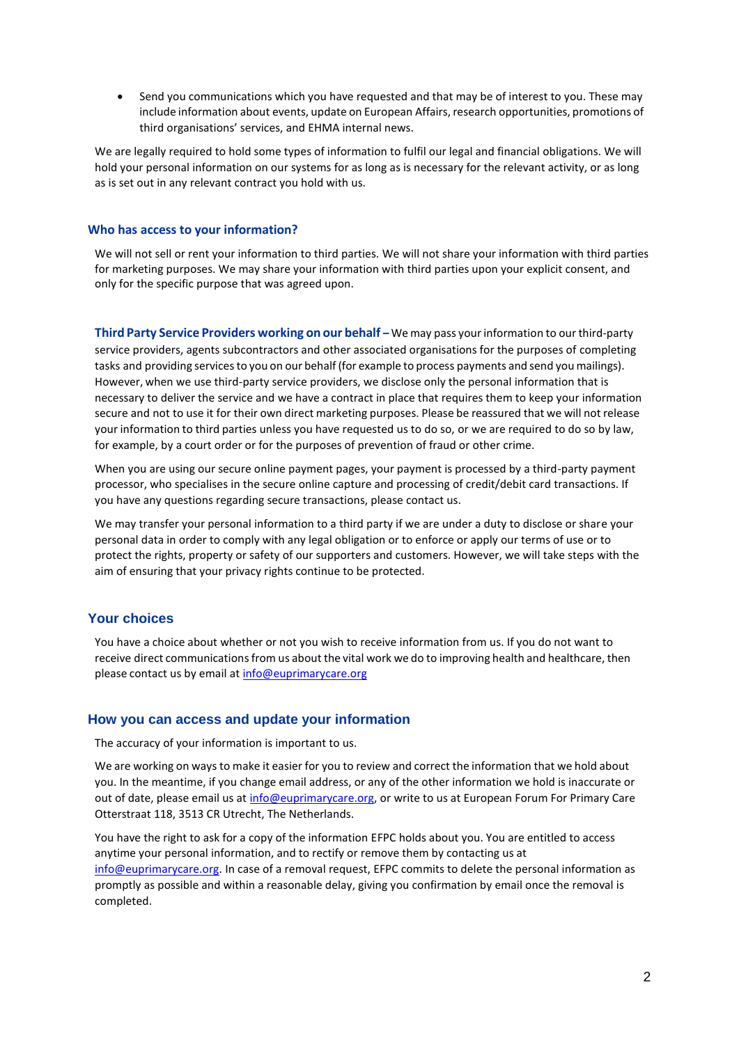Send you communications which you have requested and that may be of interest to you. These may include information about events, update on European Affairs, research opportunities, promotions of third organisations' services, and EHMA internal news.

We are legally required to hold some types of information to fulfil our legal and financial obligations. We will hold your personal information on our systems for as long as is necessary for the relevant activity, or as long as is set out in any relevant contract you hold with us.

### **Who has access to your information?**

We will not sell or rent your information to third parties. We will not share your information with third parties for marketing purposes. We may share your information with third parties upon your explicit consent, and only for the specific purpose that was agreed upon.

**Third Party Service Providers working on our behalf –** We may pass yourinformation to our third-party service providers, agents subcontractors and other associated organisations for the purposes of completing tasks and providing servicesto you on our behalf (for example to process payments and send you mailings). However, when we use third-party service providers, we disclose only the personal information that is necessary to deliver the service and we have a contract in place that requires them to keep your information secure and not to use it for their own direct marketing purposes. Please be reassured that we will not release your information to third parties unless you have requested us to do so, or we are required to do so by law, for example, by a court order or for the purposes of prevention of fraud or other crime.

When you are using our secure online payment pages, your payment is processed by a third-party payment processor, who specialises in the secure online capture and processing of credit/debit card transactions. If you have any questions regarding secure transactions, please contact us.

We may transfer your personal information to a third party if we are under a duty to disclose or share your personal data in order to comply with any legal obligation or to enforce or apply our terms of use or to protect the rights, property or safety of our supporters and customers. However, we will take steps with the aim of ensuring that your privacy rights continue to be protected.

# **Your choices**

You have a choice about whether or not you wish to receive information from us. If you do not want to receive direct communications from us about the vital work we do to improving health and healthcare, then please contact us by email at [info@euprimarycare.org](mailto:info@euprimarycare.org)

# **How you can access and update your information**

The accuracy of your information is important to us.

We are working on ways to make it easier for you to review and correct the information that we hold about you. In the meantime, if you change email address, or any of the other information we hold is inaccurate or out of date, please email us at [info@euprimarycare.org,](mailto:info@euprimarycare.org) or write to us at European Forum For Primary Care Otterstraat 118, 3513 CR Utrecht, The Netherlands.

You have the right to ask for a copy of the information EFPC holds about you. You are entitled to access anytime your personal information, and to rectify or remove them by contacting us at [info@euprimarycare.org](mailto:info@euprimarycare.org)[. In](mailto:governance@ehma.org) case of a removal request, EFPC commits to delete the personal information as promptly as possible and within a reasonable delay, giving you confirmation by email once the removal is completed.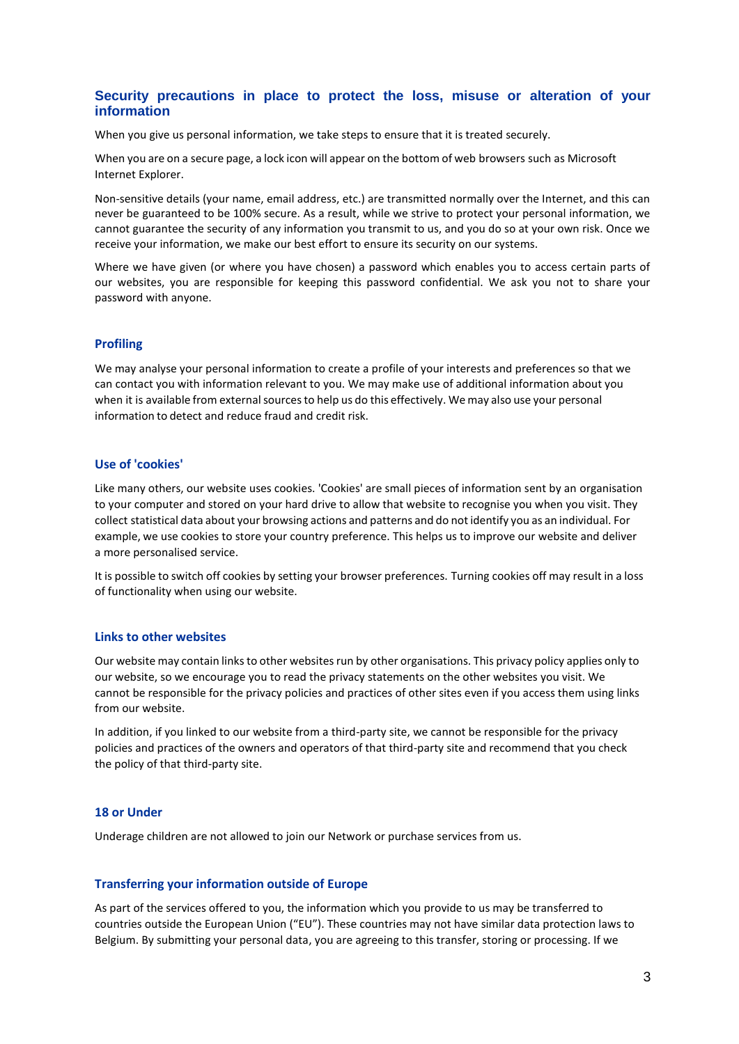# **Security precautions in place to protect the loss, misuse or alteration of your information**

When you give us personal information, we take steps to ensure that it is treated securely.

When you are on a secure page, a lock icon will appear on the bottom of web browsers such as Microsoft Internet Explorer.

Non-sensitive details (your name, email address, etc.) are transmitted normally over the Internet, and this can never be guaranteed to be 100% secure. As a result, while we strive to protect your personal information, we cannot guarantee the security of any information you transmit to us, and you do so at your own risk. Once we receive your information, we make our best effort to ensure its security on our systems.

Where we have given (or where you have chosen) a password which enables you to access certain parts of our websites, you are responsible for keeping this password confidential. We ask you not to share your password with anyone.

### **Profiling**

We may analyse your personal information to create a profile of your interests and preferences so that we can contact you with information relevant to you. We may make use of additional information about you when it is available from external sources to help us do this effectively. We may also use your personal information to detect and reduce fraud and credit risk.

#### **Use of 'cookies'**

Like many others, our website uses cookies. 'Cookies' are small pieces of information sent by an organisation to your computer and stored on your hard drive to allow that website to recognise you when you visit. They collect statistical data about your browsing actions and patterns and do not identify you as an individual. For example, we use cookies to store your country preference. This helps us to improve our website and deliver a more personalised service.

It is possible to switch off cookies by setting your browser preferences. Turning cookies off may result in a loss of functionality when using our website.

#### **Links to other websites**

Our website may contain linksto other websitesrun by other organisations. This privacy policy applies only to our website, so we encourage you to read the privacy statements on the other websites you visit. We cannot be responsible for the privacy policies and practices of other sites even if you access them using links from our website.

In addition, if you linked to our website from a third-party site, we cannot be responsible for the privacy policies and practices of the owners and operators of that third-party site and recommend that you check the policy of that third-party site.

### **18 or Under**

Underage children are not allowed to join our Network or purchase services from us.

#### **Transferring your information outside of Europe**

As part of the services offered to you, the information which you provide to us may be transferred to countries outside the European Union ("EU"). These countries may not have similar data protection laws to Belgium. By submitting your personal data, you are agreeing to this transfer, storing or processing. If we